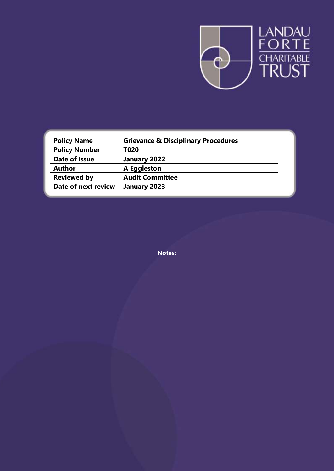

| <b>Policy Name</b>   | <b>Grievance &amp; Disciplinary Procedures</b> |  |
|----------------------|------------------------------------------------|--|
| <b>Policy Number</b> | T020                                           |  |
| Date of Issue        | January 2022                                   |  |
| <b>Author</b>        | A Eggleston                                    |  |
| <b>Reviewed by</b>   | <b>Audit Committee</b>                         |  |
| Date of next review  | January 2023                                   |  |

**Notes:**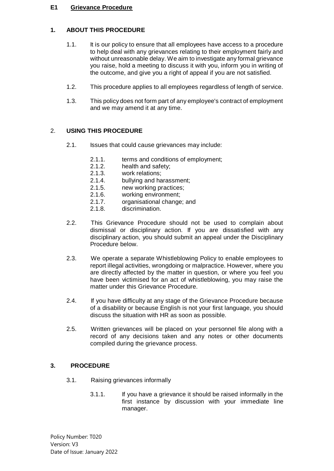#### **E1 Grievance Procedure**

### **1. ABOUT THIS PROCEDURE**

- 1.1. It is our policy to ensure that all employees have access to a procedure to help deal with any grievances relating to their employment fairly and without unreasonable delay. We aim to investigate any formal grievance you raise, hold a meeting to discuss it with you, inform you in writing of the outcome, and give you a right of appeal if you are not satisfied.
- 1.2. This procedure applies to all employees regardless of length of service.
- 1.3. This policy does not form part of any employee's contract of employment and we may amend it at any time.

### 2. **USING THIS PROCEDURE**

- 2.1. Issues that could cause grievances may include:
	- 2.1.1. terms and conditions of employment;
	- 2.1.2. health and safety;<br>2.1.3. work relations:
	- work relations:
	- 2.1.4. bullying and harassment;
	- 2.1.5. new working practices;
	- 2.1.6. working environment;
	- 2.1.7. organisational change; and
	- 2.1.8. discrimination.
- 2.2. This Grievance Procedure should not be used to complain about dismissal or disciplinary action. If you are dissatisfied with any disciplinary action, you should submit an appeal under the Disciplinary Procedure below.
- 2.3. We operate a separate Whistleblowing Policy to enable employees to report illegal activities, wrongdoing or malpractice. However, where you are directly affected by the matter in question, or where you feel you have been victimised for an act of whistleblowing, you may raise the matter under this Grievance Procedure.
- 2.4. If you have difficulty at any stage of the Grievance Procedure because of a disability or because English is not your first language, you should discuss the situation with HR as soon as possible.
- 2.5. Written grievances will be placed on your personnel file along with a record of any decisions taken and any notes or other documents compiled during the grievance process.

#### **3. PROCEDURE**

- 3.1. Raising grievances informally
	- 3.1.1. If you have a grievance it should be raised informally in the first instance by discussion with your immediate line manager.

Policy Number: T020 Version: V3 Date of Issue: January 2022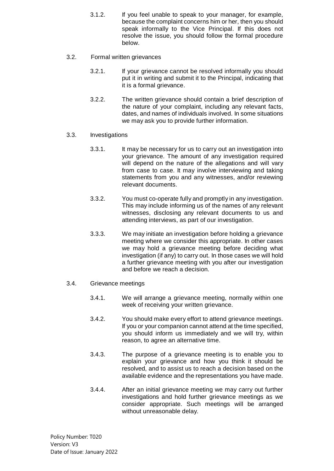- 3.1.2. If you feel unable to speak to your manager, for example, because the complaint concerns him or her, then you should speak informally to the Vice Principal. If this does not resolve the issue, you should follow the formal procedure below.
- 3.2. Formal written grievances
	- 3.2.1. If your grievance cannot be resolved informally you should put it in writing and submit it to the Principal, indicating that it is a formal grievance.
	- 3.2.2. The written grievance should contain a brief description of the nature of your complaint, including any relevant facts, dates, and names of individuals involved. In some situations we may ask you to provide further information.
- 3.3. Investigations
	- 3.3.1. It may be necessary for us to carry out an investigation into your grievance. The amount of any investigation required will depend on the nature of the allegations and will vary from case to case. It may involve interviewing and taking statements from you and any witnesses, and/or reviewing relevant documents.
	- 3.3.2. You must co-operate fully and promptly in any investigation. This may include informing us of the names of any relevant witnesses, disclosing any relevant documents to us and attending interviews, as part of our investigation.
	- 3.3.3. We may initiate an investigation before holding a grievance meeting where we consider this appropriate. In other cases we may hold a grievance meeting before deciding what investigation (if any) to carry out. In those cases we will hold a further grievance meeting with you after our investigation and before we reach a decision.
- 3.4. Grievance meetings
	- 3.4.1. We will arrange a grievance meeting, normally within one week of receiving your written grievance.
	- 3.4.2. You should make every effort to attend grievance meetings. If you or your companion cannot attend at the time specified, you should inform us immediately and we will try, within reason, to agree an alternative time.
	- 3.4.3. The purpose of a grievance meeting is to enable you to explain your grievance and how you think it should be resolved, and to assist us to reach a decision based on the available evidence and the representations you have made.
	- 3.4.4. After an initial grievance meeting we may carry out further investigations and hold further grievance meetings as we consider appropriate. Such meetings will be arranged without unreasonable delay.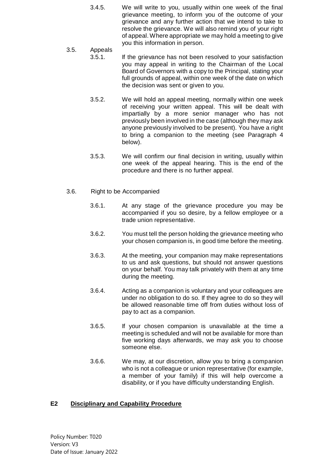- 3.4.5. We will write to you, usually within one week of the final grievance meeting, to inform you of the outcome of your grievance and any further action that we intend to take to resolve the grievance. We will also remind you of your right of appeal. Where appropriate we may hold a meeting to give you this information in person.
- 3.5. Appeals 3.5.1. If the grievance has not been resolved to your satisfaction you may appeal in writing to the Chairman of the Local Board of Governors with a copy to the Principal, stating your full grounds of appeal, within one week of the date on which the decision was sent or given to you.
	- 3.5.2. We will hold an appeal meeting, normally within one week of receiving your written appeal. This will be dealt with impartially by a more senior manager who has not previously been involved in the case (although they may ask anyone previously involved to be present). You have a right to bring a companion to the meeting (see Paragraph 4 below).
	- 3.5.3. We will confirm our final decision in writing, usually within one week of the appeal hearing. This is the end of the procedure and there is no further appeal.
- 3.6. Right to be Accompanied
	- 3.6.1. At any stage of the grievance procedure you may be accompanied if you so desire, by a fellow employee or a trade union representative.
	- 3.6.2. You must tell the person holding the grievance meeting who your chosen companion is, in good time before the meeting.
	- 3.6.3. At the meeting, your companion may make representations to us and ask questions, but should not answer questions on your behalf. You may talk privately with them at any time during the meeting.
	- 3.6.4. Acting as a companion is voluntary and your colleagues are under no obligation to do so. If they agree to do so they will be allowed reasonable time off from duties without loss of pay to act as a companion.
	- 3.6.5. If your chosen companion is unavailable at the time a meeting is scheduled and will not be available for more than five working days afterwards, we may ask you to choose someone else.
	- 3.6.6. We may, at our discretion, allow you to bring a companion who is not a colleague or union representative (for example, a member of your family) if this will help overcome a disability, or if you have difficulty understanding English.

## **E2 Disciplinary and Capability Procedure**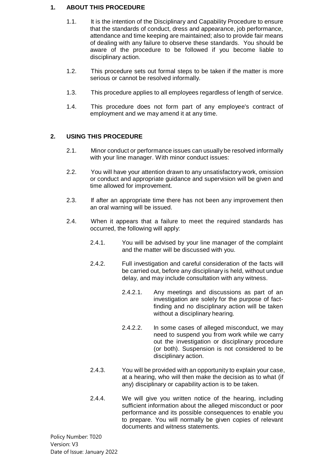#### **1. ABOUT THIS PROCEDURE**

- 1.1. It is the intention of the Disciplinary and Capability Procedure to ensure that the standards of conduct, dress and appearance, job performance, attendance and time keeping are maintained; also to provide fair means of dealing with any failure to observe these standards. You should be aware of the procedure to be followed if you become liable to disciplinary action.
- 1.2. This procedure sets out formal steps to be taken if the matter is more serious or cannot be resolved informally.
- 1.3. This procedure applies to all employees regardless of length of service.
- 1.4. This procedure does not form part of any employee's contract of employment and we may amend it at any time.

### **2. USING THIS PROCEDURE**

- 2.1. Minor conduct or performance issues can usually be resolved informally with your line manager. With minor conduct issues:
- 2.2. You will have your attention drawn to any unsatisfactory work, omission or conduct and appropriate guidance and supervision will be given and time allowed for improvement.
- 2.3. If after an appropriate time there has not been any improvement then an oral warning will be issued.
- 2.4. When it appears that a failure to meet the required standards has occurred, the following will apply:
	- 2.4.1. You will be advised by your line manager of the complaint and the matter will be discussed with you.
	- 2.4.2. Full investigation and careful consideration of the facts will be carried out, before any disciplinary is held, without undue delay, and may include consultation with any witness.
		- 2.4.2.1. Any meetings and discussions as part of an investigation are solely for the purpose of factfinding and no disciplinary action will be taken without a disciplinary hearing.
		- 2.4.2.2. In some cases of alleged misconduct, we may need to suspend you from work while we carry out the investigation or disciplinary procedure (or both). Suspension is not considered to be disciplinary action.
	- 2.4.3. You will be provided with an opportunity to explain your case, at a hearing, who will then make the decision as to what (if any) disciplinary or capability action is to be taken.
	- 2.4.4. We will give you written notice of the hearing, including sufficient information about the alleged misconduct or poor performance and its possible consequences to enable you to prepare. You will normally be given copies of relevant documents and witness statements.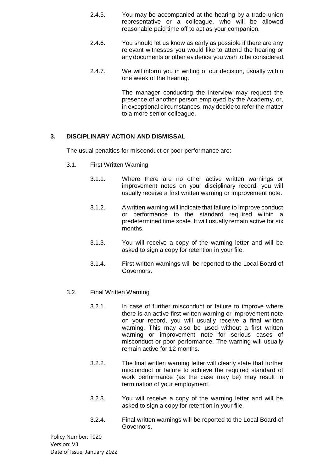- 2.4.5. You may be accompanied at the hearing by a trade union representative or a colleague, who will be allowed reasonable paid time off to act as your companion.
- 2.4.6. You should let us know as early as possible if there are any relevant witnesses you would like to attend the hearing or any documents or other evidence you wish to be considered.
- 2.4.7. We will inform you in writing of our decision, usually within one week of the hearing.

The manager conducting the interview may request the presence of another person employed by the Academy, or, in exceptional circumstances, may decide to refer the matter to a more senior colleague.

### **3. DISCIPLINARY ACTION AND DISMISSAL**

The usual penalties for misconduct or poor performance are:

- 3.1. First Written Warning
	- 3.1.1. Where there are no other active written warnings or improvement notes on your disciplinary record, you will usually receive a first written warning or improvement note.
	- 3.1.2. A written warning will indicate that failure to improve conduct or performance to the standard required within a predetermined time scale. It will usually remain active for six months.
	- 3.1.3. You will receive a copy of the warning letter and will be asked to sign a copy for retention in your file.
	- 3.1.4. First written warnings will be reported to the Local Board of Governors.
- 3.2. Final Written Warning
	- 3.2.1. In case of further misconduct or failure to improve where there is an active first written warning or improvement note on your record, you will usually receive a final written warning. This may also be used without a first written warning or improvement note for serious cases of misconduct or poor performance. The warning will usually remain active for 12 months.
	- 3.2.2. The final written warning letter will clearly state that further misconduct or failure to achieve the required standard of work performance (as the case may be) may result in termination of your employment.
	- 3.2.3. You will receive a copy of the warning letter and will be asked to sign a copy for retention in your file.
	- 3.2.4. Final written warnings will be reported to the Local Board of Governors.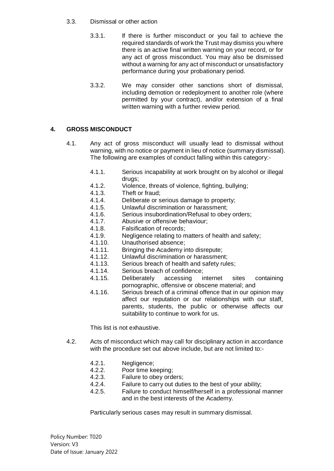#### 3.3. Dismissal or other action

- 3.3.1. If there is further misconduct or you fail to achieve the required standards of work the Trust may dismiss you where there is an active final written warning on your record, or for any act of gross misconduct. You may also be dismissed without a warning for any act of misconduct or unsatisfactory performance during your probationary period.
- 3.3.2. We may consider other sanctions short of dismissal, including demotion or redeployment to another role (where permitted by your contract), and/or extension of a final written warning with a further review period.

# **4. GROSS MISCONDUCT**

- 4.1. Any act of gross misconduct will usually lead to dismissal without warning, with no notice or payment in lieu of notice (summary dismissal). The following are examples of conduct falling within this category:-
	- 4.1.1. Serious incapability at work brought on by alcohol or illegal drugs;
	- 4.1.2. Violence, threats of violence, fighting, bullying;
	- 4.1.3. Theft or fraud;
	- 4.1.4. Deliberate or serious damage to property;
	- 4.1.5. Unlawful discrimination or harassment;
	- 4.1.6. Serious insubordination/Refusal to obey orders;
	- 4.1.7. Abusive or offensive behaviour;
	- 4.1.8. Falsification of records;
	- 4.1.9. Negligence relating to matters of health and safety;
	- 4.1.10. Unauthorised absence;
	- 4.1.11. Bringing the Academy into disrepute;
	- 4.1.12. Unlawful discrimination or harassment;
	- 4.1.13. Serious breach of health and safety rules;
	- 4.1.14. Serious breach of confidence;
	- 4.1.15. Deliberately accessing internet sites containing pornographic, offensive or obscene material; and
	- 4.1.16. Serious breach of a criminal offence that in our opinion may affect our reputation or our relationships with our staff, parents, students, the public or otherwise affects our suitability to continue to work for us.

This list is not exhaustive.

- 4.2. Acts of misconduct which may call for disciplinary action in accordance with the procedure set out above include, but are not limited to:-
	- 4.2.1. Negligence;
	- 4.2.2. Poor time keeping;
	- 4.2.3. Failure to obey orders;
	- 4.2.4. Failure to carry out duties to the best of your ability;
	- 4.2.5. Failure to conduct himself/herself in a professional manner and in the best interests of the Academy.

Particularly serious cases may result in summary dismissal.

Policy Number: T020 Version: V3 Date of Issue: January 2022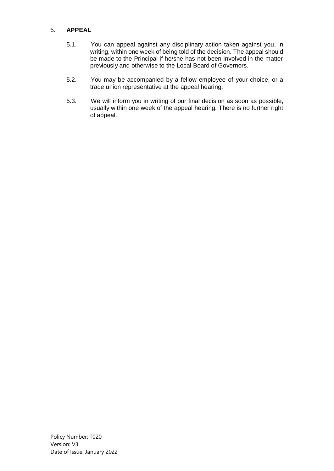#### 5. **APPEAL**

- 5.1. You can appeal against any disciplinary action taken against you, in writing, within one week of being told of the decision. The appeal should be made to the Principal if he/she has not been involved in the matter previously and otherwise to the Local Board of Governors.
- 5.2. You may be accompanied by a fellow employee of your choice, or a trade union representative at the appeal hearing.
- 5.3. We will inform you in writing of our final decision as soon as possible, usually within one week of the appeal hearing. There is no further right of appeal.